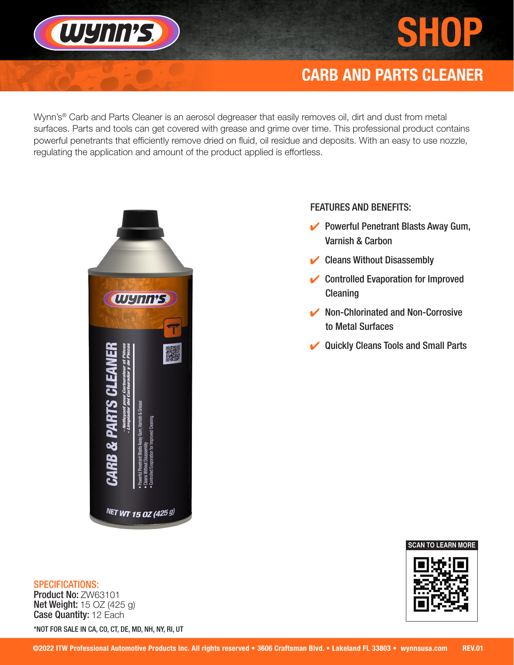

## CARB AND PARTS CLEANER

Wynn's<sup>®</sup> Carb and Parts Cleaner is an aerosol degreaser that easily removes oil, dirt and dust from metal surfaces. Parts and tools can get covered with grease and grime over time. This professional product contains powerful penetrants that efficiently remove dried on fluid, oil residue and deposits. With an easy to use nozzle, regulating the application and amount of the product applied is effortless.



WYNN'S,

FEATURES AND BENEFITS:

- $\blacktriangleright$  Powerful Penetrant Blasts Away Gum, Varnish & Carbon
- $\vee$  Cleans Without Disassembly
- **✔ Controlled Evaporation for Improved Cleaning**
- ◆ Non-Chlorinated and Non-Corrosive to Metal Surfaces
- ✔ Quickly Cleans Tools and Small Parts

SPECIFICATIONS: Product No: ZW63101 **Net Weight: 15 OZ (425 g)** 

Case Quantity: 12 Each \*NOT FOR SALE IN CA, CO, CT, DE, MD, NH, NY, RI, UT